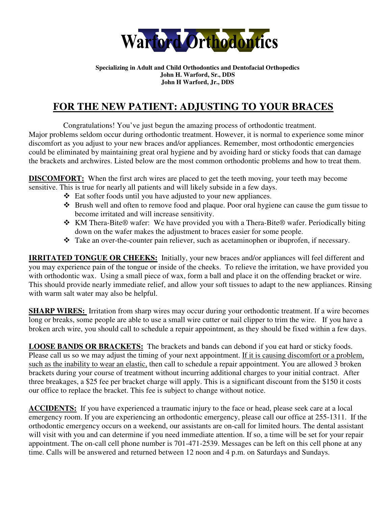

#### **Specializing in Adult and Child Orthodontics and Dentofacial Orthopedics John H. Warford, Sr., DDS John H Warford, Jr., DDS**

# **FOR THE NEW PATIENT: ADJUSTING TO YOUR BRACES**

Congratulations! You've just begun the amazing process of orthodontic treatment. Major problems seldom occur during orthodontic treatment. However, it is normal to experience some minor discomfort as you adjust to your new braces and/or appliances. Remember, most orthodontic emergencies could be eliminated by maintaining great oral hygiene and by avoiding hard or sticky foods that can damage the brackets and archwires. Listed below are the most common orthodontic problems and how to treat them.

**DISCOMFORT:** When the first arch wires are placed to get the teeth moving, your teeth may become sensitive. This is true for nearly all patients and will likely subside in a few days.

- Eat softer foods until you have adjusted to your new appliances.
- Brush well and often to remove food and plaque. Poor oral hygiene can cause the gum tissue to become irritated and will increase sensitivity.
- KM Thera-Bite® wafer: We have provided you with a Thera-Bite® wafer. Periodically biting down on the wafer makes the adjustment to braces easier for some people.
- Take an over-the-counter pain reliever, such as acetaminophen or ibuprofen, if necessary.

**IRRITATED TONGUE OR CHEEKS:** Initially, your new braces and/or appliances will feel different and you may experience pain of the tongue or inside of the cheeks. To relieve the irritation, we have provided you with orthodontic wax. Using a small piece of wax, form a ball and place it on the offending bracket or wire. This should provide nearly immediate relief, and allow your soft tissues to adapt to the new appliances. Rinsing with warm salt water may also be helpful.

**SHARP WIRES:** Irritation from sharp wires may occur during your orthodontic treatment. If a wire becomes long or breaks, some people are able to use a small wire cutter or nail clipper to trim the wire. If you have a broken arch wire, you should call to schedule a repair appointment, as they should be fixed within a few days.

**LOOSE BANDS OR BRACKETS:** The brackets and bands can debond if you eat hard or sticky foods. Please call us so we may adjust the timing of your next appointment. If it is causing discomfort or a problem, such as the inability to wear an elastic, then call to schedule a repair appointment. You are allowed 3 broken brackets during your course of treatment without incurring additional charges to your initial contract. After three breakages, a \$25 fee per bracket charge will apply. This is a significant discount from the \$150 it costs our office to replace the bracket. This fee is subject to change without notice.

**ACCIDENTS:** If you have experienced a traumatic injury to the face or head, please seek care at a local emergency room. If you are experiencing an orthodontic emergency, please call our office at 255-1311. If the orthodontic emergency occurs on a weekend, our assistants are on-call for limited hours. The dental assistant will visit with you and can determine if you need immediate attention. If so, a time will be set for your repair appointment. The on-call cell phone number is 701-471-2539. Messages can be left on this cell phone at any time. Calls will be answered and returned between 12 noon and 4 p.m. on Saturdays and Sundays.